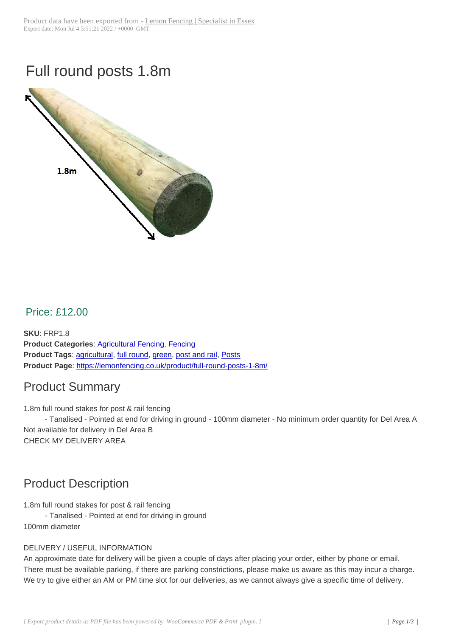# Full round posts 1.8m



#### Price: £12.00

**SKU**: FRP1.8 **Product Categories**: Agricultural Fencing, Fencing **Product Tags**: agricultural, full round, green, post and rail, Posts **Product Page**: https://lemonfencing.co.uk/product/full-round-posts-1-8m/

#### Product [Summ](https://lemonfencing.co.uk/product-tag/agricultural/)[ary](https://lemonfencing.co.uk/shop/fencing/agricultural-fencing/)

1.8m full round [stakes for post & rail fencing](https://lemonfencing.co.uk/product/full-round-posts-1-8m/)

- Tanalised - Pointed at end for driving in ground - 100mm diameter - No minimum order quantity for Del Area A Not available for delivery in Del Area B CHECK MY DELIVERY AREA

#### Product Description

1.8m full round stakes for post & rail fencing

- Tanalised - Pointed at end for driving in ground

100mm diameter

#### DELIVERY / USEFUL INFORMATION

An approximate date for delivery will be given a couple of days after placing your order, either by phone or email. There must be available parking, if there are parking constrictions, please make us aware as this may incur a charge. We try to give either an AM or PM time slot for our deliveries, as we cannot always give a specific time of delivery.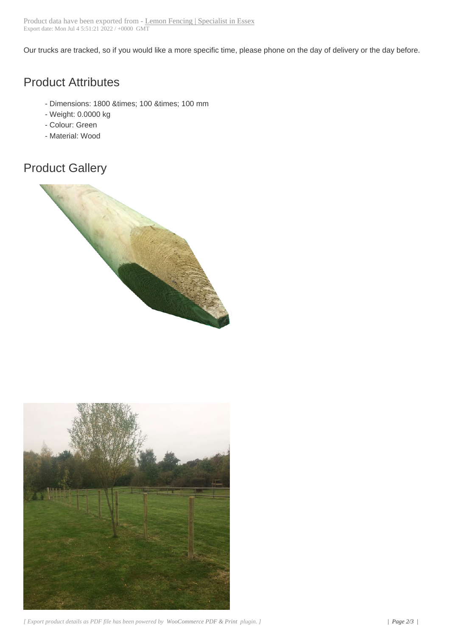Our trucks are tracked, so if you would like a more specific time, please phone on the day of delivery or the day before.

## Product Attributes

- Dimensions: 1800 × 100 × 100 mm
- Weight: 0.0000 kg
- Colour: Green
- Material: Wood

## Product Gallery



![](_page_1_Picture_8.jpeg)

*[ Export product details as PDF file has been powered by WooCommerce PDF & Print plugin. ] | Page 2/3 |*